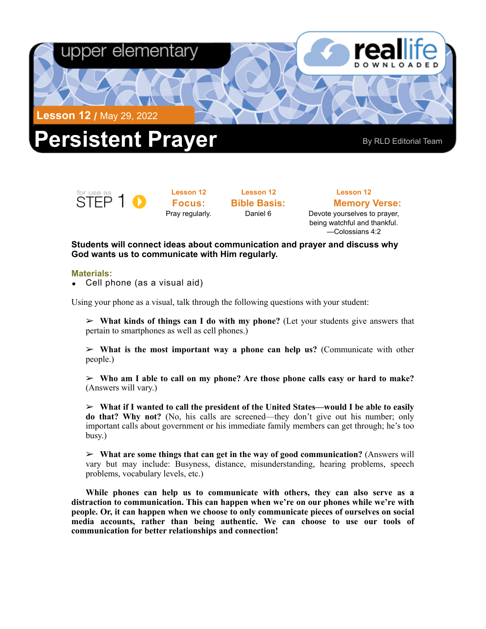

for use as<br>STEP 1

**Lesson 12 Focus:**  Pray regularly.

**Lesson 12 Bible Basis:** Daniel 6

**Lesson 12 Memory Verse:**<br>Devote yourselves to prayer, being watchful and thankful. —Colossians 4:2

**Students will connect ideas about communication and prayer and discuss why God wants us to communicate with Him regularly.** 

## **Materials:**

• Cell phone (as a visual aid)

Using your phone as a visual, talk through the following questions with your student:

➢ **What kinds of things can I do with my phone?** (Let your students give answers that pertain to smartphones as well as cell phones.)

➢ **What is the most important way a phone can help us?** (Communicate with other people.)

➢ **Who am I able to call on my phone? Are those phone calls easy or hard to make?**  (Answers will vary.)

➢ **What if I wanted to call the president of the United States—would I be able to easily do that? Why not?** (No, his calls are screened—they don't give out his number; only important calls about government or his immediate family members can get through; he's too busy.)

➢ **What are some things that can get in the way of good communication?** (Answers will vary but may include: Busyness, distance, misunderstanding, hearing problems, speech problems, vocabulary levels, etc.)

**While phones can help us to communicate with others, they can also serve as a distraction to communication. This can happen when we're on our phones while we're with people. Or, it can happen when we choose to only communicate pieces of ourselves on social media accounts, rather than being authentic. We can choose to use our tools of communication for better relationships and connection!**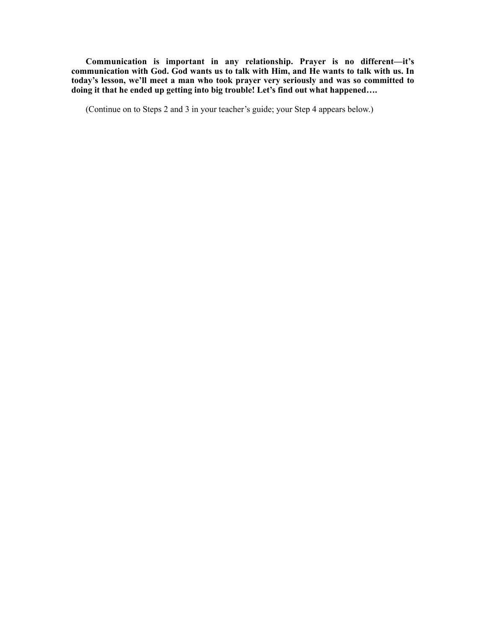**Communication is important in any relationship. Prayer is no different—it's communication with God. God wants us to talk with Him, and He wants to talk with us. In today's lesson, we'll meet a man who took prayer very seriously and was so committed to doing it that he ended up getting into big trouble! Let's find out what happened….**

(Continue on to Steps 2 and 3 in your teacher's guide; your Step 4 appears below.)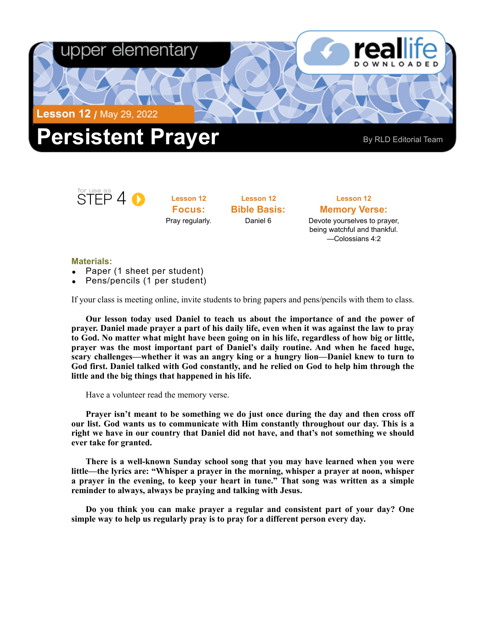

## STEP 4 0

**Lesson 12 Focus:**  Pray regularly.

**Lesson 12 Bible Basis:** Daniel 6

## **Lesson 12 Memory Verse:** Devote yourselves to prayer, being watchful and thankful. —Colossians 4:2

## **Materials:**

- Paper (1 sheet per student)
- Pens/pencils (1 per student)

If your class is meeting online, invite students to bring papers and pens/pencils with them to class.

**Our lesson today used Daniel to teach us about the importance of and the power of prayer. Daniel made prayer a part of his daily life, even when it was against the law to pray to God. No matter what might have been going on in his life, regardless of how big or little, prayer was the most important part of Daniel's daily routine. And when he faced huge, scary challenges—whether it was an angry king or a hungry lion—Daniel knew to turn to God first. Daniel talked with God constantly, and he relied on God to help him through the little and the big things that happened in his life.** 

Have a volunteer read the memory verse.

**Prayer isn't meant to be something we do just once during the day and then cross off our list. God wants us to communicate with Him constantly throughout our day. This is a right we have in our country that Daniel did not have, and that's not something we should ever take for granted.** 

**There is a well-known Sunday school song that you may have learned when you were little—the lyrics are: "Whisper a prayer in the morning, whisper a prayer at noon, whisper a prayer in the evening, to keep your heart in tune." That song was written as a simple reminder to always, always be praying and talking with Jesus.** 

**Do you think you can make prayer a regular and consistent part of your day? One simple way to help us regularly pray is to pray for a different person every day.**